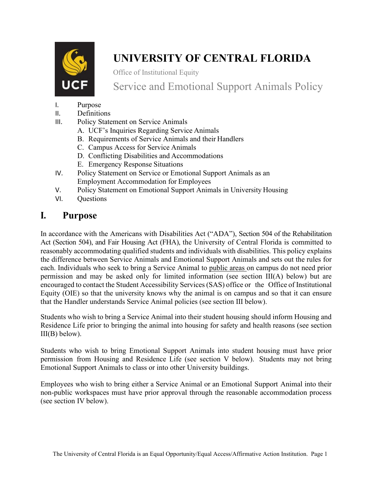

# **UNIVERSITY OF CENTRAL FLORIDA**

Office of Institutional Equity

Service and Emotional Support Animals Policy

- I. Purpose
- II. Definitions
- III. Policy Statement on Service Animals
	- A. UCF's Inquiries Regarding Service Animals
	- B. Requirements of Service Animals and their Handlers
	- C. Campus Access for Service Animals
	- D. Conflicting Disabilities and Accommodations
	- E. Emergency Response Situations
- IV. Policy Statement on Service or Emotional Support Animals as an Employment Accommodation for Employees
- V. Policy Statement on Emotional Support Animals in University Housing
- VI. Questions

# **I. Purpose**

In accordance with the Americans with Disabilities Act ("ADA"), Section 504 of the Rehabilitation Act (Section 504), and Fair Housing Act (FHA), the University of Central Florida is committed to reasonably accommodating qualified students and individuals with disabilities. This policy explains the difference between Service Animals and Emotional Support Animals and sets out the rules for each. Individuals who seek to bring a Service Animal to public areas on campus do not need prior permission and may be asked only for limited information (see section III(A) below) but are encouraged to contact the Student Accessibility Services (SAS) office or the Office of Institutional Equity (OIE) so that the university knows why the animal is on campus and so that it can ensure that the Handler understands Service Animal policies (see section III below).

Students who wish to bring a Service Animal into their student housing should inform Housing and Residence Life prior to bringing the animal into housing for safety and health reasons (see section  $III(B)$  below).

Students who wish to bring Emotional Support Animals into student housing must have prior permission from Housing and Residence Life (see section V below). Students may not bring Emotional Support Animals to class or into other University buildings.

Employees who wish to bring either a Service Animal or an Emotional Support Animal into their non-public workspaces must have prior approval through the reasonable accommodation process (see section IV below).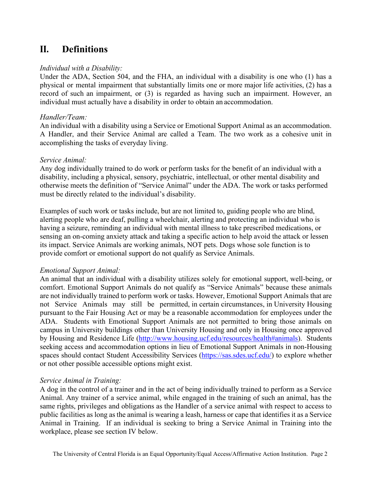## **II. Definitions**

#### *Individual with a Disability:*

Under the ADA, Section 504, and the FHA, an individual with a disability is one who (1) has a physical or mental impairment that substantially limits one or more major life activities, (2) has a record of such an impairment, or (3) is regarded as having such an impairment. However, an individual must actually have a disability in order to obtain an accommodation.

#### *Handler/Team:*

An individual with a disability using a Service or Emotional Support Animal as an accommodation. A Handler, and their Service Animal are called a Team. The two work as a cohesive unit in accomplishing the tasks of everyday living.

#### *Service Animal:*

Any dog individually trained to do work or perform tasks for the benefit of an individual with a disability, including a physical, sensory, psychiatric, intellectual, or other mental disability and otherwise meets the definition of "Service Animal" under the ADA. The work or tasks performed must be directly related to the individual's disability.

Examples of such work or tasks include, but are not limited to, guiding people who are blind, alerting people who are deaf, pulling a wheelchair, alerting and protecting an individual who is having a seizure, reminding an individual with mental illness to take prescribed medications, or sensing an on-coming anxiety attack and taking a specific action to help avoid the attack or lessen its impact. Service Animals are working animals, NOT pets. Dogs whose sole function is to provide comfort or emotional support do not qualify as Service Animals.

#### *Emotional Support Animal:*

An animal that an individual with a disability utilizes solely for emotional support, well-being, or comfort. Emotional Support Animals do not qualify as "Service Animals" because these animals are not individually trained to perform work or tasks. However, Emotional Support Animals that are not Service Animals may still be permitted, in certain circumstances, in University Housing pursuant to the Fair Housing Act or may be a reasonable accommodation for employees under the ADA. Students with Emotional Support Animals are not permitted to bring those animals on campus in University buildings other than University Housing and only in Housing once approved by Housing and Residence Life [\(http://www.housing.ucf.edu/resources/health#animals\)](http://www.housing.ucf.edu/resources/health#animals). Students seeking access and accommodation options in lieu of Emotional Support Animals in non-Housing spaces should contact Student Accessibility Services [\(https://sas.sdes.ucf.edu/\)](https://sas.sdes.ucf.edu/) to explore whether or not other possible accessible options might exist.

#### *Service Animal in Training:*

A dog in the control of a trainer and in the act of being individually trained to perform as a Service Animal. Any trainer of a service animal, while engaged in the training of such an animal, has the same rights, privileges and obligations as the Handler of a service animal with respect to access to public facilities as long as the animal is wearing a leash, harness or cape that identifies it as a Service Animal in Training. If an individual is seeking to bring a Service Animal in Training into the workplace, please see section IV below.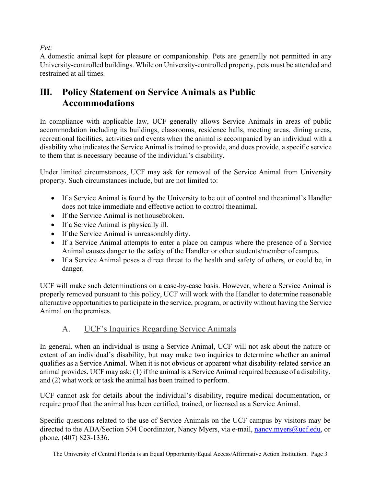#### *Pet:*

A domestic animal kept for pleasure or companionship. Pets are generally not permitted in any University-controlled buildings. While on University-controlled property, pets must be attended and restrained at all times.

# **III. Policy Statement on Service Animals as Public Accommodations**

In compliance with applicable law, UCF generally allows Service Animals in areas of public accommodation including its buildings, classrooms, residence halls, meeting areas, dining areas, recreational facilities, activities and events when the animal is accompanied by an individual with a disability who indicates the Service Animal is trained to provide, and does provide, a specific service to them that is necessary because of the individual's disability.

Under limited circumstances, UCF may ask for removal of the Service Animal from University property. Such circumstances include, but are not limited to:

- If a Service Animal is found by the University to be out of control and the animal's Handler does not take immediate and effective action to control the animal.
- If the Service Animal is not housebroken.
- If a Service Animal is physically ill.
- If the Service Animal is unreasonably dirty.
- If a Service Animal attempts to enter a place on campus where the presence of a Service Animal causes danger to the safety of the Handler or other students/member of campus.
- If a Service Animal poses a direct threat to the health and safety of others, or could be, in danger.

UCF will make such determinations on a case-by-case basis. However, where a Service Animal is properly removed pursuant to this policy, UCF will work with the Handler to determine reasonable alternative opportunities to participate in the service, program, or activity without having the Service Animal on the premises.

### A. UCF's Inquiries Regarding Service Animals

In general, when an individual is using a Service Animal, UCF will not ask about the nature or extent of an individual's disability, but may make two inquiries to determine whether an animal qualifies as a Service Animal. When it is not obvious or apparent what disability-related service an animal provides, UCF may ask: (1) if the animal is a Service Animal required because of a disability, and (2) what work or task the animal has been trained to perform.

UCF cannot ask for details about the individual's disability, require medical documentation, or require proof that the animal has been certified, trained, or licensed as a Service Animal.

Specific questions related to the use of Service Animals on the UCF campus by visitors may be directed to the ADA/Section 504 Coordinator, Nancy Myers, via e-mail, [nancy.myers@ucf.edu,](mailto:nancy.myers@ucf.edu) or phone, (407) 823-1336.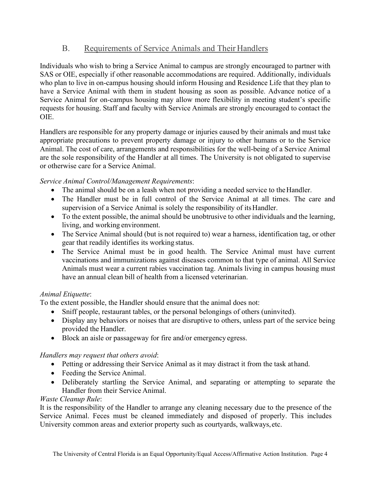#### B. Requirements of Service Animals and Their Handlers

Individuals who wish to bring a Service Animal to campus are strongly encouraged to partner with SAS or OIE, especially if other reasonable accommodations are required. Additionally, individuals who plan to live in on-campus housing should inform Housing and Residence Life that they plan to have a Service Animal with them in student housing as soon as possible. Advance notice of a Service Animal for on-campus housing may allow more flexibility in meeting student's specific requests for housing. Staff and faculty with Service Animals are strongly encouraged to contact the OIE.

Handlers are responsible for any property damage or injuries caused by their animals and must take appropriate precautions to prevent property damage or injury to other humans or to the Service Animal. The cost of care, arrangements and responsibilities for the well-being of a Service Animal are the sole responsibility of the Handler at all times. The University is not obligated to supervise or otherwise care for a Service Animal.

#### *Service Animal Control/Management Requirements*:

- The animal should be on a leash when not providing a needed service to the Handler.
- The Handler must be in full control of the Service Animal at all times. The care and supervision of a Service Animal is solely the responsibility of itsHandler.
- To the extent possible, the animal should be unobtrusive to other individuals and the learning, living, and working environment.
- The Service Animal should (but is not required to) wear a harness, identification tag, or other gear that readily identifies its working status.
- The Service Animal must be in good health. The Service Animal must have current vaccinations and immunizations against diseases common to that type of animal. All Service Animals must wear a current rabies vaccination tag. Animals living in campus housing must have an annual clean bill of health from a licensed veterinarian.

#### *Animal Etiquette*:

To the extent possible, the Handler should ensure that the animal does not:

- Sniff people, restaurant tables, or the personal belongings of others (uninvited).
- Display any behaviors or noises that are disruptive to others, unless part of the service being provided the Handler.
- Block an aisle or passageway for fire and/or emergency egress.

#### *Handlers may request that others avoid*:

- Petting or addressing their Service Animal as it may distract it from the task athand.
- Feeding the Service Animal.
- Deliberately startling the Service Animal, and separating or attempting to separate the Handler from their Service Animal.

#### *Waste Cleanup Rule*:

It is the responsibility of the Handler to arrange any cleaning necessary due to the presence of the Service Animal. Feces must be cleaned immediately and disposed of properly. This includes University common areas and exterior property such as courtyards, walkways, etc.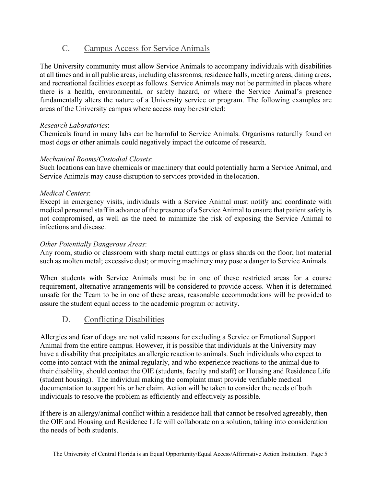#### C. Campus Access for Service Animals

The University community must allow Service Animals to accompany individuals with disabilities at all times and in all public areas, including classrooms, residence halls, meeting areas, dining areas, and recreational facilities except as follows. Service Animals may not be permitted in places where there is a health, environmental, or safety hazard, or where the Service Animal's presence fundamentally alters the nature of a University service or program. The following examples are areas of the University campus where access may be restricted:

#### *Research Laboratories*:

Chemicals found in many labs can be harmful to Service Animals. Organisms naturally found on most dogs or other animals could negatively impact the outcome of research.

#### *Mechanical Rooms/Custodial Closets*:

Such locations can have chemicals or machinery that could potentially harm a Service Animal, and Service Animals may cause disruption to services provided in thelocation.

#### *Medical Centers*:

Except in emergency visits, individuals with a Service Animal must notify and coordinate with medical personnel staff in advance of the presence of a Service Animal to ensure that patient safety is not compromised, as well as the need to minimize the risk of exposing the Service Animal to infections and disease.

#### *Other Potentially Dangerous Areas*:

Any room, studio or classroom with sharp metal cuttings or glass shards on the floor; hot material such as molten metal; excessive dust; or moving machinery may pose a danger to Service Animals.

When students with Service Animals must be in one of these restricted areas for a course requirement, alternative arrangements will be considered to provide access. When it is determined unsafe for the Team to be in one of these areas, reasonable accommodations will be provided to assure the student equal access to the academic program or activity.

#### D. Conflicting Disabilities

Allergies and fear of dogs are not valid reasons for excluding a Service or Emotional Support Animal from the entire campus. However, it is possible that individuals at the University may have a disability that precipitates an allergic reaction to animals. Such individuals who expect to come into contact with the animal regularly, and who experience reactions to the animal due to their disability, should contact the OIE (students, faculty and staff) or Housing and Residence Life (student housing). The individual making the complaint must provide verifiable medical documentation to support his or her claim. Action will be taken to consider the needs of both individuals to resolve the problem as efficiently and effectively as possible.

If there is an allergy/animal conflict within a residence hall that cannot be resolved agreeably, then the OIE and Housing and Residence Life will collaborate on a solution, taking into consideration the needs of both students.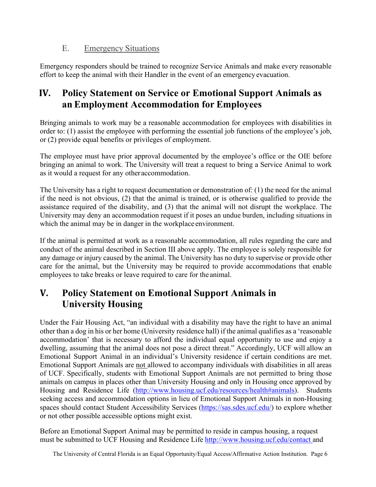#### E. Emergency Situations

Emergency responders should be trained to recognize Service Animals and make every reasonable effort to keep the animal with their Handler in the event of an emergency evacuation.

# **IV. Policy Statement on Service or Emotional Support Animals as an Employment Accommodation for Employees**

Bringing animals to work may be a reasonable accommodation for employees with disabilities in order to: (1) assist the employee with performing the essential job functions of the employee's job, or (2) provide equal benefits or privileges of employment.

The employee must have prior approval documented by the employee's office or the OIE before bringing an animal to work. The University will treat a request to bring a Service Animal to work as it would a request for any otheraccommodation.

The University has a right to request documentation or demonstration of: (1) the need for the animal if the need is not obvious, (2) that the animal is trained, or is otherwise qualified to provide the assistance required of the disability, and (3) that the animal will not disrupt the workplace. The University may deny an accommodation request if it poses an undue burden, including situations in which the animal may be in danger in the workplace environment.

If the animal is permitted at work as a reasonable accommodation, all rules regarding the care and conduct of the animal described in Section III above apply. The employee is solely responsible for any damage or injury caused by the animal. The University has no duty to supervise or provide other care for the animal, but the University may be required to provide accommodations that enable employees to take breaks or leave required to care for the animal.

# **V. Policy Statement on Emotional Support Animals in University Housing**

Under the Fair Housing Act, "an individual with a disability may have the right to have an animal other than a dog in his or her home (University residence hall) if the animal qualifies as a 'reasonable accommodation' that is necessary to afford the individual equal opportunity to use and enjoy a dwelling, assuming that the animal does not pose a direct threat." Accordingly, UCF will allow an Emotional Support Animal in an individual's University residence if certain conditions are met. Emotional Support Animals are not allowed to accompany individuals with disabilities in all areas of UCF. Specifically, students with Emotional Support Animals are not permitted to bring those animals on campus in places other than University Housing and only in Housing once approved by Housing and Residence Life [\(http://www.housing.ucf.edu/resources/health#animals\)](http://www.housing.ucf.edu/resources/health#animals). Students seeking access and accommodation options in lieu of Emotional Support Animals in non-Housing spaces should contact Student Accessibility Services [\(https://sas.sdes.ucf.edu/\)](https://sas.sdes.ucf.edu/) to explore whether or not other possible accessible options might exist.

Before an Emotional Support Animal may be permitted to reside in campus housing, a request must be submitted to UCF Housing and Residence Life [http://www.housing.ucf.edu/contact a](http://www.housing.ucf.edu/contact)nd

The University of Central Florida is an Equal Opportunity/Equal Access/Affirmative Action Institution. Page 6